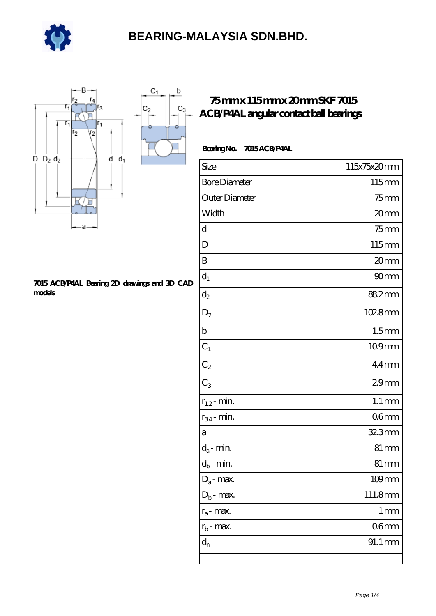

 $\sf b$ 

ó

 $C_3$ 



#### **[7015 ACB/P4AL Bearing 2D drawings and 3D CAD](https://e-marc.net/pic-65141624.html) [models](https://e-marc.net/pic-65141624.html)**

### **[75 mm x 115 mm x 20 mm SKF 7015](https://e-marc.net/skf-7015-acb-p4al-bearing/) [ACB/P4AL angular contact ball bearings](https://e-marc.net/skf-7015-acb-p4al-bearing/)**

### **Bearing No. 7015 ACB/P4AL**

| Size                 | 115x75x20mm        |
|----------------------|--------------------|
| <b>Bore Diameter</b> | 115mm              |
| Outer Diameter       | $75$ mm            |
| Width                | 20mm               |
| d                    | $75$ mm            |
| D                    | 115mm              |
| B                    | 20mm               |
| $d_1$                | 90mm               |
| $\mathrm{d}_2$       | 88.2mm             |
| $D_2$                | 1028mm             |
| $\mathbf b$          | 1.5 <sub>mm</sub>  |
| $C_1$                | 109mm              |
| $C_2$                | $44$ mm            |
| $C_3$                | 29 <sub>mm</sub>   |
| $r_{1,2}$ - min.     | $1.1 \, \text{mm}$ |
| $r_{34}$ - min.      | 06 <sub>mm</sub>   |
| a                    | 32.3mm             |
| $d_a$ - min.         | 81 mm              |
| $d_b$ - min.         | $81 \,\mathrm{mm}$ |
| $D_a$ - max.         | $109$ mm           |
| $D_b$ - max.         | 111.8mm            |
| $r_a$ - max.         | $1 \,\mathrm{mm}$  |
| $r_{b}$ - max.       | 06 <sub>mm</sub>   |
| $\mathbf{d}_{\rm n}$ | 91.1 mm            |
|                      |                    |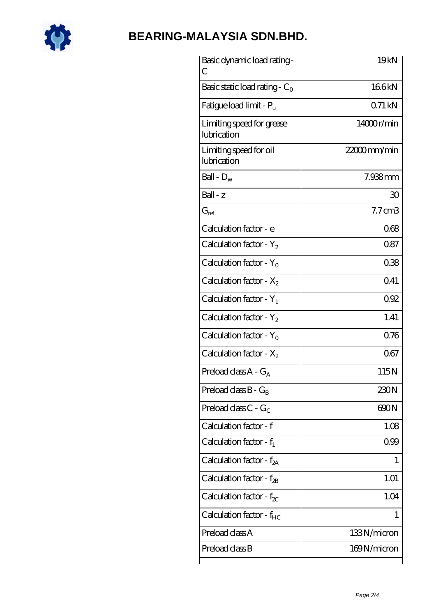

| Basic dynamic load rating -<br>С         | 19kN               |
|------------------------------------------|--------------------|
| Basic static load rating - $C_0$         | 166kN              |
| Fatigue load limit - $P_{\rm u}$         | $Q71$ kN           |
| Limiting speed for grease<br>lubrication | 14000r/min         |
| Limiting speed for oil<br>lubrication    | 22000mm/min        |
| Ball - $D_w$                             | 7.938mm            |
| $Ball - z$                               | 30                 |
| $G_{ref}$                                | $7.7 \text{ cm}$ 3 |
| Calculation factor - e                   | 068                |
| Calculation factor - $Y_2$               | 087                |
| Calculation factor - $Y_0$               | 038                |
| Calculation factor - $X_2$               | 0.41               |
| Calculation factor - $Y_1$               | 092                |
| Calculation factor - $Y_2$               | 1.41               |
| Calculation factor - $Y_0$               | 0.76               |
| Calculation factor - $X_2$               | 067                |
| Preload class $A - G_A$                  | 115N               |
| Preload class $B - G_B$                  | 230N               |
| Preload class C - $G_C$                  | 600N               |
| Calculation factor - f                   | 1.08               |
| Calculation factor - $f_1$               | 099                |
| Calculation factor - $f_{2A}$            | 1                  |
| Calculation factor - $f_{2B}$            | 1.01               |
| Calculation factor - $f_{\chi}$          | 1.04               |
| Calculation factor - $f_{HC}$            | 1                  |
| Preload class A                          | 133N/micron        |
| Preload class B                          | 169N/micron        |
|                                          |                    |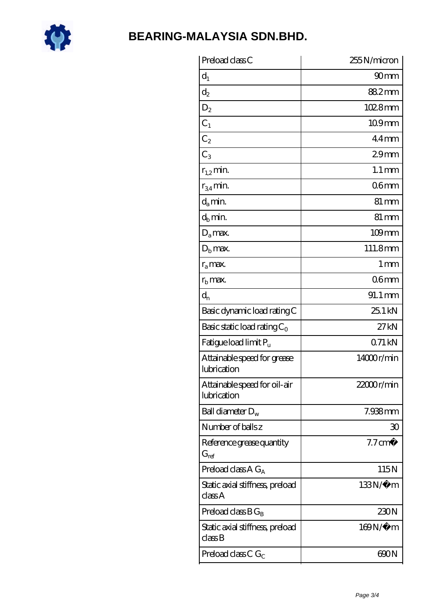

| Preload class C                                               | 255N/micron          |
|---------------------------------------------------------------|----------------------|
| $d_1$                                                         | 90 <sub>mm</sub>     |
| $\mathrm{d}_2$                                                | 88.2mm               |
| $D_2$                                                         | 1028mm               |
| $C_1$                                                         | 109mm                |
| $C_2$                                                         | $44$ mm              |
| $C_3$                                                         | 29 <sub>mm</sub>     |
| $r_{1,2}$ min.                                                | $1.1 \,\mathrm{mm}$  |
| $r_{34}$ min.                                                 | 06 <sub>mm</sub>     |
| $d_a$ min.                                                    | $81 \,\mathrm{mm}$   |
| $d_b$ min.                                                    | $81 \,\mathrm{mm}$   |
| $D_a$ max.                                                    | $109$ mm             |
| $Db$ max.                                                     | 111.8mm              |
| $r_a$ max.                                                    | 1 <sub>mm</sub>      |
| $r_{\rm b}$ max.                                              | 06 <sub>mm</sub>     |
| $d_{n}$                                                       | $91.1 \,\mathrm{mm}$ |
| Basic dynamic load rating C                                   | 25.1 kN              |
| Basic static load rating $C_0$                                | 27kN                 |
| Fatigue load limit P <sub>u</sub>                             | 071kN                |
| Attainable speed for grease<br>lubrication                    | 14000r/min           |
| Attainable speed for oil-air<br>lubrication                   | 22000r/min           |
| Ball diameter $D_w$                                           | 7.938mm              |
| Number of balls z                                             | 30                   |
| Reference grease quantity<br>$G_{ref}$                        | $7.7 \text{ cm}^3$   |
| Preload class A $G_A$                                         | 115N                 |
| Static axial stiffness, preload<br>classA                     | $133N/\mu$ m         |
| Preload class $BG_B$                                          | 230N                 |
| Static axial stiffness, preload<br>$\mathrm{class}\mathrm{B}$ | 169N/μ m             |
| Preload class C $G_C$                                         | 600N                 |